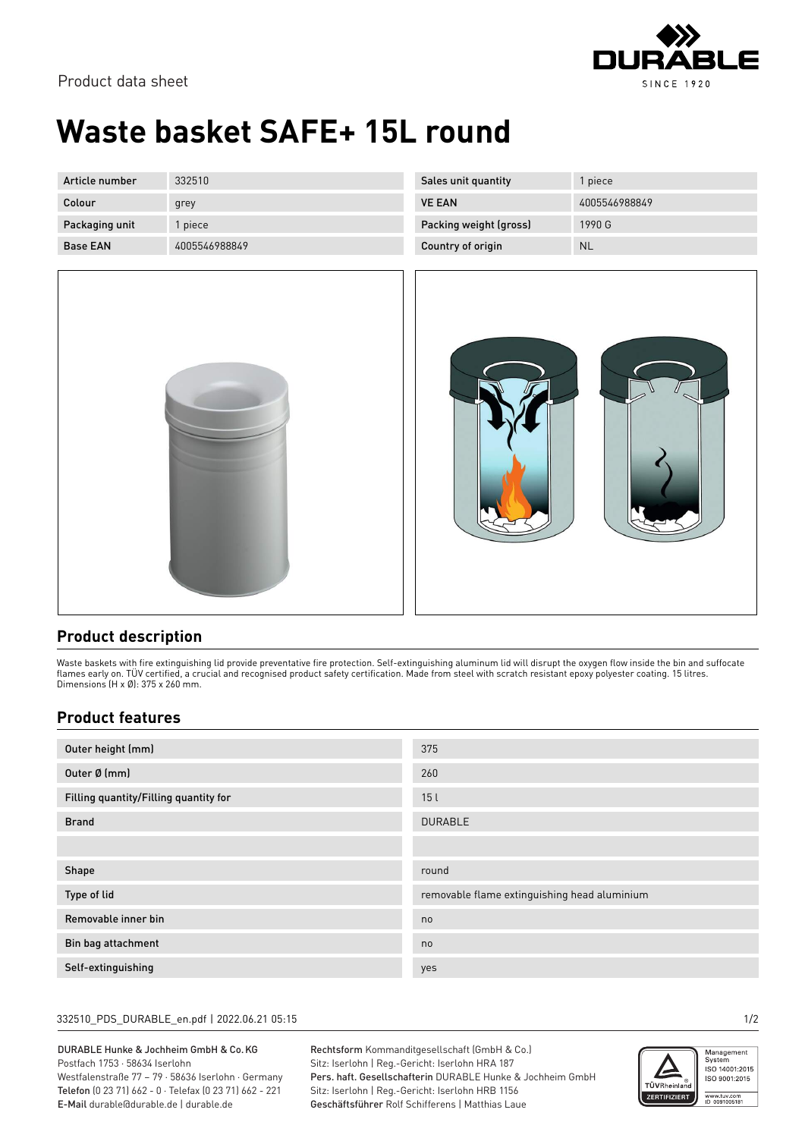

Product data sheet

# **Waste basket SAFE+ 15L round**

| Article number  | 332510        | Sales unit quantity    | piece         |
|-----------------|---------------|------------------------|---------------|
| Colour          | grey          | <b>VE EAN</b>          | 4005546988849 |
| Packaging unit  | piece         | Packing weight (gross) | 1990 G        |
| <b>Base EAN</b> | 4005546988849 | Country of origin      | <b>NL</b>     |





## **Product description**

Waste baskets with fire extinguishing lid provide preventative fire protection. Self-extinguishing aluminum lid will disrupt the oxygen flow inside the bin and suffocate flames early on. TÜV certified, a crucial and recognised product safety certification. Made from steel with scratch resistant epoxy polyester coating. 15 litres. Dimensions (H x Ø): 375 x 260 mm.

## **Product features**

| Outer height (mm)                     | 375                                          |  |
|---------------------------------------|----------------------------------------------|--|
| Outer Ø (mm)                          | 260                                          |  |
| Filling quantity/Filling quantity for | 15l                                          |  |
| <b>Brand</b>                          | <b>DURABLE</b>                               |  |
|                                       |                                              |  |
| Shape                                 | round                                        |  |
| Type of lid                           | removable flame extinguishing head aluminium |  |
| Removable inner bin                   | no                                           |  |
| Bin bag attachment                    | no                                           |  |
| Self-extinguishing                    | yes                                          |  |

#### 332510\_PDS\_DURABLE\_en.pdf | 2022.06.21 05:15 1/2

#### DURABLE Hunke & Jochheim GmbH & Co.KG Postfach 1753 · 58634 Iserlohn

Westfalenstraße 77 – 79 · 58636 Iserlohn · Germany Telefon (0 23 71) 662 - 0 · Telefax (0 23 71) 662 - 221 E-Mail durable@durable.de | durable.de

Rechtsform Kommanditgesellschaft (GmbH & Co.) Sitz: Iserlohn | Reg.-Gericht: Iserlohn HRA 187 Pers. haft. Gesellschafterin DURABLE Hunke & Jochheim GmbH Sitz: Iserlohn | Reg.-Gericht: Iserlohn HRB 1156 Geschäftsführer Rolf Schifferens | Matthias Laue